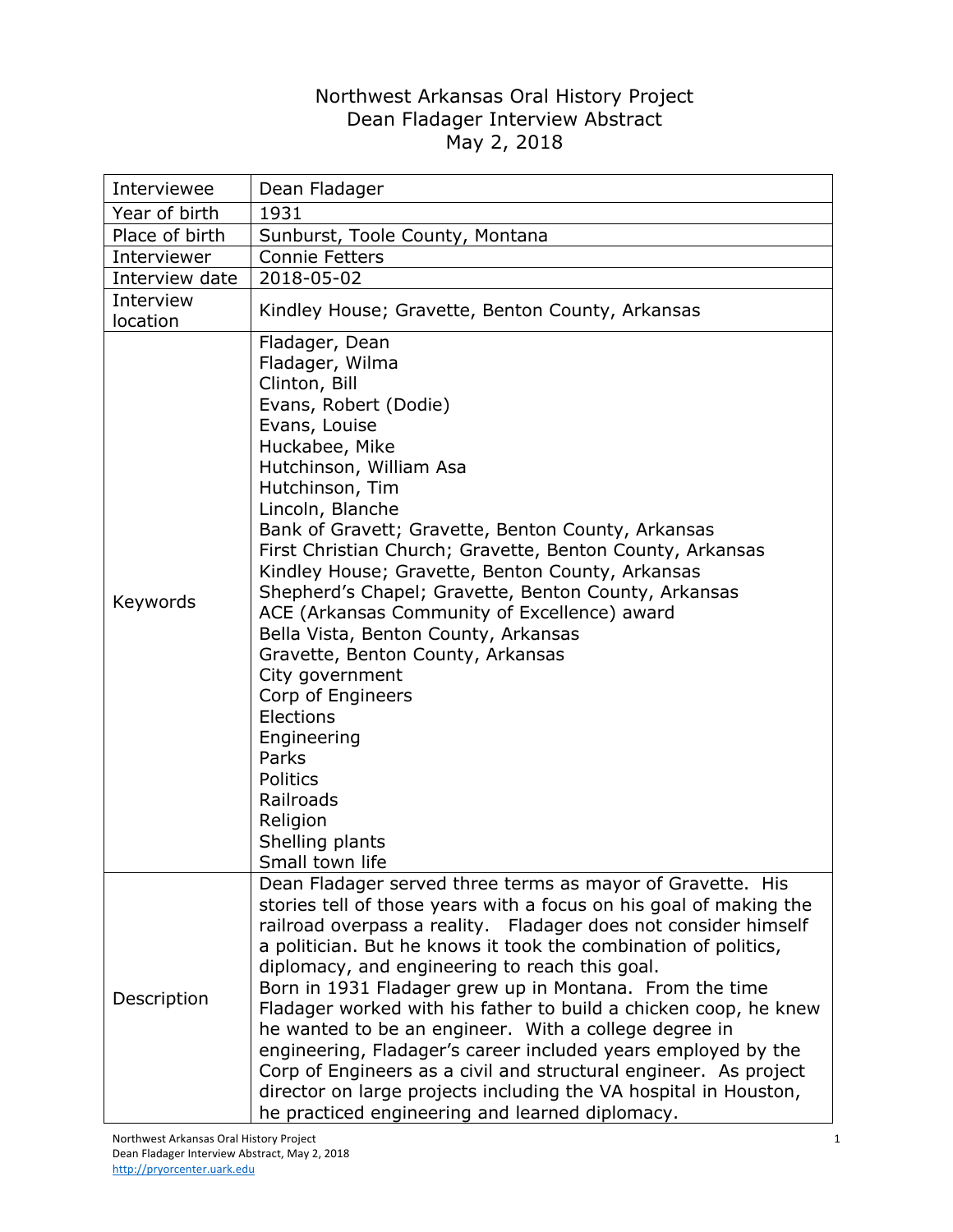## Northwest Arkansas Oral History Project Dean Fladager Interview Abstract May 2, 2018

| Interviewee           | Dean Fladager                                                                                                                                                                                                                                                                                                                                                                                                                                                                                                                                                                                                                                                                                                                                                                |
|-----------------------|------------------------------------------------------------------------------------------------------------------------------------------------------------------------------------------------------------------------------------------------------------------------------------------------------------------------------------------------------------------------------------------------------------------------------------------------------------------------------------------------------------------------------------------------------------------------------------------------------------------------------------------------------------------------------------------------------------------------------------------------------------------------------|
| Year of birth         | 1931                                                                                                                                                                                                                                                                                                                                                                                                                                                                                                                                                                                                                                                                                                                                                                         |
| Place of birth        | Sunburst, Toole County, Montana                                                                                                                                                                                                                                                                                                                                                                                                                                                                                                                                                                                                                                                                                                                                              |
| Interviewer           | <b>Connie Fetters</b>                                                                                                                                                                                                                                                                                                                                                                                                                                                                                                                                                                                                                                                                                                                                                        |
| Interview date        | 2018-05-02                                                                                                                                                                                                                                                                                                                                                                                                                                                                                                                                                                                                                                                                                                                                                                   |
| Interview<br>location | Kindley House; Gravette, Benton County, Arkansas                                                                                                                                                                                                                                                                                                                                                                                                                                                                                                                                                                                                                                                                                                                             |
| Keywords              | Fladager, Dean<br>Fladager, Wilma<br>Clinton, Bill<br>Evans, Robert (Dodie)<br>Evans, Louise<br>Huckabee, Mike<br>Hutchinson, William Asa<br>Hutchinson, Tim<br>Lincoln, Blanche<br>Bank of Gravett; Gravette, Benton County, Arkansas<br>First Christian Church; Gravette, Benton County, Arkansas<br>Kindley House; Gravette, Benton County, Arkansas<br>Shepherd's Chapel; Gravette, Benton County, Arkansas<br>ACE (Arkansas Community of Excellence) award<br>Bella Vista, Benton County, Arkansas<br>Gravette, Benton County, Arkansas<br>City government<br>Corp of Engineers<br>Elections<br>Engineering<br>Parks<br>Politics<br>Railroads<br>Religion<br>Shelling plants<br>Small town life                                                                         |
| Description           | Dean Fladager served three terms as mayor of Gravette. His<br>stories tell of those years with a focus on his goal of making the<br>railroad overpass a reality. Fladager does not consider himself<br>a politician. But he knows it took the combination of politics,<br>diplomacy, and engineering to reach this goal.<br>Born in 1931 Fladager grew up in Montana. From the time<br>Fladager worked with his father to build a chicken coop, he knew<br>he wanted to be an engineer. With a college degree in<br>engineering, Fladager's career included years employed by the<br>Corp of Engineers as a civil and structural engineer. As project<br>director on large projects including the VA hospital in Houston,<br>he practiced engineering and learned diplomacy. |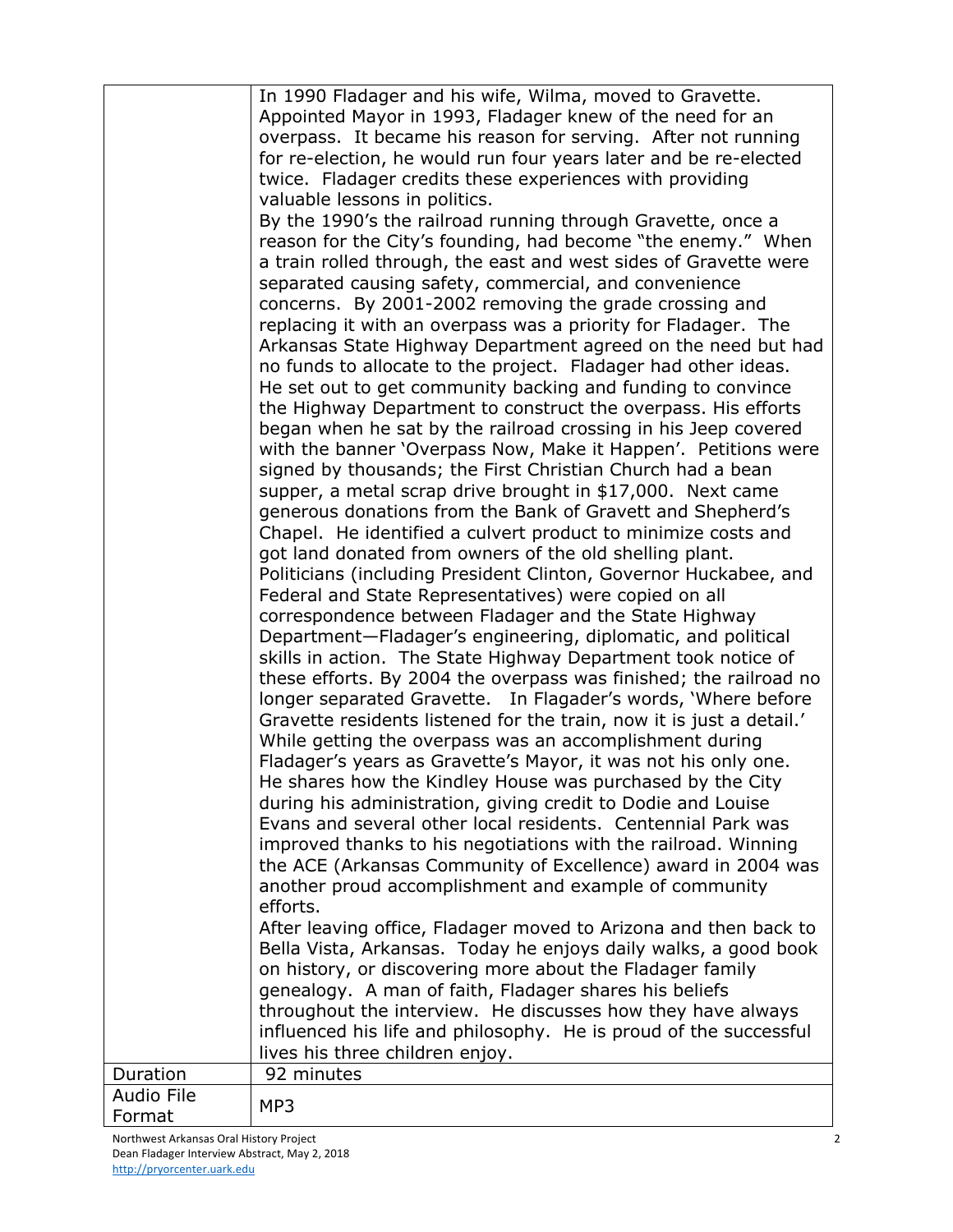|            | In 1990 Fladager and his wife, Wilma, moved to Gravette.             |
|------------|----------------------------------------------------------------------|
|            | Appointed Mayor in 1993, Fladager knew of the need for an            |
|            | overpass. It became his reason for serving. After not running        |
|            | for re-election, he would run four years later and be re-elected     |
|            | twice. Fladager credits these experiences with providing             |
|            | valuable lessons in politics.                                        |
|            | By the 1990's the railroad running through Gravette, once a          |
|            | reason for the City's founding, had become "the enemy." When         |
|            | a train rolled through, the east and west sides of Gravette were     |
|            | separated causing safety, commercial, and convenience                |
|            | concerns. By 2001-2002 removing the grade crossing and               |
|            | replacing it with an overpass was a priority for Fladager. The       |
|            | Arkansas State Highway Department agreed on the need but had         |
|            | no funds to allocate to the project. Fladager had other ideas.       |
|            | He set out to get community backing and funding to convince          |
|            | the Highway Department to construct the overpass. His efforts        |
|            | began when he sat by the railroad crossing in his Jeep covered       |
|            | with the banner 'Overpass Now, Make it Happen'. Petitions were       |
|            | signed by thousands; the First Christian Church had a bean           |
|            | supper, a metal scrap drive brought in \$17,000. Next came           |
|            | generous donations from the Bank of Gravett and Shepherd's           |
|            | Chapel. He identified a culvert product to minimize costs and        |
|            | got land donated from owners of the old shelling plant.              |
|            | Politicians (including President Clinton, Governor Huckabee, and     |
|            | Federal and State Representatives) were copied on all                |
|            | correspondence between Fladager and the State Highway                |
|            | Department-Fladager's engineering, diplomatic, and political         |
|            | skills in action. The State Highway Department took notice of        |
|            | these efforts. By 2004 the overpass was finished; the railroad no    |
|            | longer separated Gravette. In Flagader's words, 'Where before        |
|            | Gravette residents listened for the train, now it is just a detail.' |
|            | While getting the overpass was an accomplishment during              |
|            | Fladager's years as Gravette's Mayor, it was not his only one.       |
|            | He shares how the Kindley House was purchased by the City            |
|            | during his administration, giving credit to Dodie and Louise         |
|            | Evans and several other local residents. Centennial Park was         |
|            | improved thanks to his negotiations with the railroad. Winning       |
|            | the ACE (Arkansas Community of Excellence) award in 2004 was         |
|            | another proud accomplishment and example of community                |
|            | efforts.                                                             |
|            | After leaving office, Fladager moved to Arizona and then back to     |
|            | Bella Vista, Arkansas. Today he enjoys daily walks, a good book      |
|            | on history, or discovering more about the Fladager family            |
|            | genealogy. A man of faith, Fladager shares his beliefs               |
|            | throughout the interview. He discusses how they have always          |
|            | influenced his life and philosophy. He is proud of the successful    |
|            | lives his three children enjoy.                                      |
| Duration   | 92 minutes                                                           |
| Audio File | MP3                                                                  |
| Format     |                                                                      |